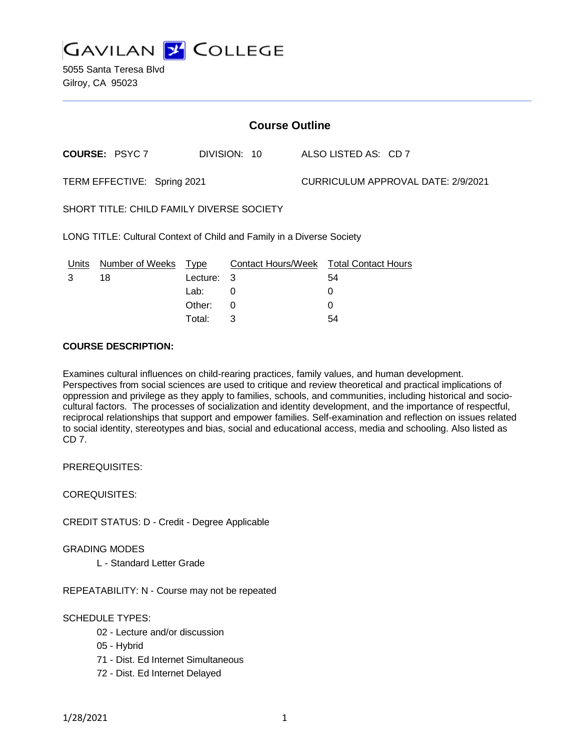

5055 Santa Teresa Blvd Gilroy, CA 95023

| <b>Course Outline</b>                                                 |                       |             |                           |                                    |                            |
|-----------------------------------------------------------------------|-----------------------|-------------|---------------------------|------------------------------------|----------------------------|
|                                                                       | <b>COURSE: PSYC 7</b> |             | DIVISION: 10              |                                    | ALSO LISTED AS: CD 7       |
| TERM EFFECTIVE: Spring 2021                                           |                       |             |                           | CURRICULUM APPROVAL DATE: 2/9/2021 |                            |
| SHORT TITLE: CHILD FAMILY DIVERSE SOCIETY                             |                       |             |                           |                                    |                            |
| LONG TITLE: Cultural Context of Child and Family in a Diverse Society |                       |             |                           |                                    |                            |
| Units                                                                 | Number of Weeks       | <u>Type</u> | <b>Contact Hours/Week</b> |                                    | <b>Total Contact Hours</b> |
| 3                                                                     | 18                    | Lecture:    | 3                         |                                    | 54                         |
|                                                                       |                       | Lab:        | 0                         |                                    | 0                          |
|                                                                       |                       | Other:      | 0                         |                                    |                            |

Total: 3 54

#### **COURSE DESCRIPTION:**

Examines cultural influences on child-rearing practices, family values, and human development. Perspectives from social sciences are used to critique and review theoretical and practical implications of oppression and privilege as they apply to families, schools, and communities, including historical and sociocultural factors. The processes of socialization and identity development, and the importance of respectful, reciprocal relationships that support and empower families. Self-examination and reflection on issues related to social identity, stereotypes and bias, social and educational access, media and schooling. Also listed as CD 7.

PREREQUISITES:

COREQUISITES:

CREDIT STATUS: D - Credit - Degree Applicable

GRADING MODES

L - Standard Letter Grade

REPEATABILITY: N - Course may not be repeated

### SCHEDULE TYPES:

- 02 Lecture and/or discussion
- 05 Hybrid
- 71 Dist. Ed Internet Simultaneous
- 72 Dist. Ed Internet Delayed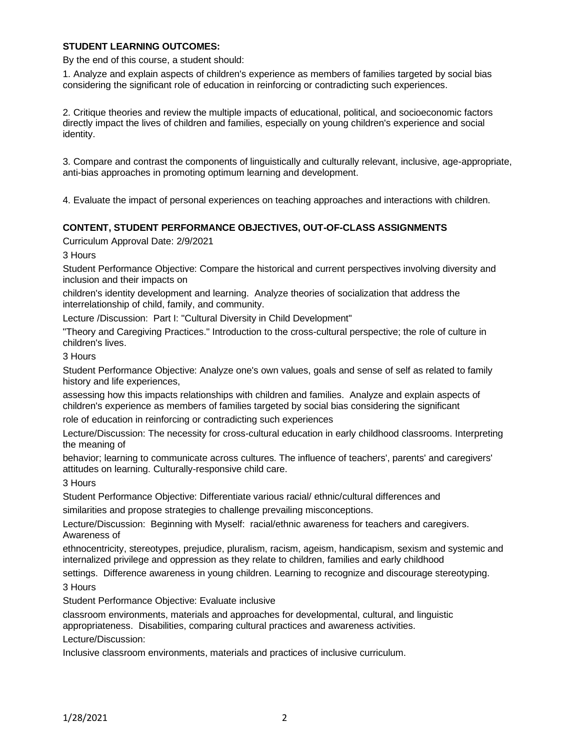### **STUDENT LEARNING OUTCOMES:**

By the end of this course, a student should:

1. Analyze and explain aspects of children's experience as members of families targeted by social bias considering the significant role of education in reinforcing or contradicting such experiences.

2. Critique theories and review the multiple impacts of educational, political, and socioeconomic factors directly impact the lives of children and families, especially on young children's experience and social identity.

3. Compare and contrast the components of linguistically and culturally relevant, inclusive, age-appropriate, anti-bias approaches in promoting optimum learning and development.

4. Evaluate the impact of personal experiences on teaching approaches and interactions with children.

### **CONTENT, STUDENT PERFORMANCE OBJECTIVES, OUT-OF-CLASS ASSIGNMENTS**

Curriculum Approval Date: 2/9/2021

3 Hours

Student Performance Objective: Compare the historical and current perspectives involving diversity and inclusion and their impacts on

children's identity development and learning. Analyze theories of socialization that address the interrelationship of child, family, and community.

Lecture /Discussion: Part I: "Cultural Diversity in Child Development"

"Theory and Caregiving Practices." Introduction to the cross-cultural perspective; the role of culture in children's lives.

#### 3 Hours

Student Performance Objective: Analyze one's own values, goals and sense of self as related to family history and life experiences,

assessing how this impacts relationships with children and families. Analyze and explain aspects of children's experience as members of families targeted by social bias considering the significant role of education in reinforcing or contradicting such experiences

Lecture/Discussion: The necessity for cross-cultural education in early childhood classrooms. Interpreting the meaning of

behavior; learning to communicate across cultures. The influence of teachers', parents' and caregivers' attitudes on learning. Culturally-responsive child care.

3 Hours

Student Performance Objective: Differentiate various racial/ ethnic/cultural differences and similarities and propose strategies to challenge prevailing misconceptions.

Lecture/Discussion: Beginning with Myself: racial/ethnic awareness for teachers and caregivers. Awareness of

ethnocentricity, stereotypes, prejudice, pluralism, racism, ageism, handicapism, sexism and systemic and internalized privilege and oppression as they relate to children, families and early childhood

settings. Difference awareness in young children. Learning to recognize and discourage stereotyping. 3 Hours

Student Performance Objective: Evaluate inclusive

classroom environments, materials and approaches for developmental, cultural, and linguistic appropriateness. Disabilities, comparing cultural practices and awareness activities.

Lecture/Discussion:

Inclusive classroom environments, materials and practices of inclusive curriculum.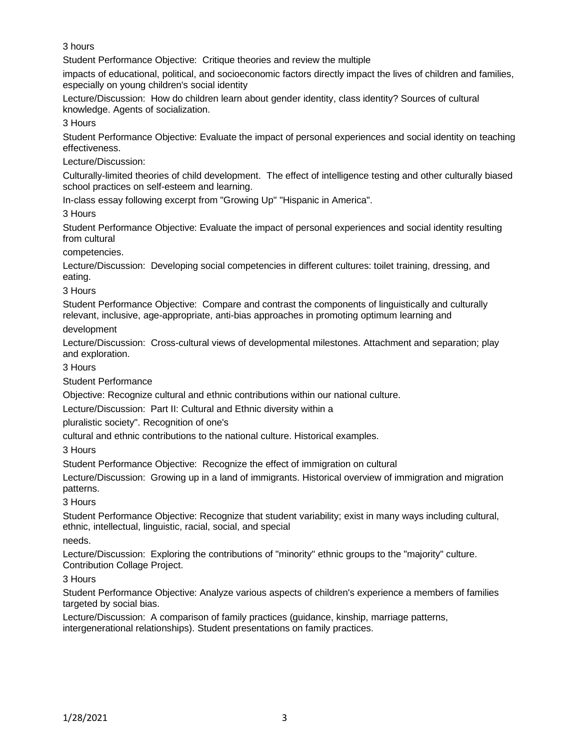3 hours

Student Performance Objective: Critique theories and review the multiple

impacts of educational, political, and socioeconomic factors directly impact the lives of children and families, especially on young children's social identity

Lecture/Discussion: How do children learn about gender identity, class identity? Sources of cultural knowledge. Agents of socialization.

3 Hours

Student Performance Objective: Evaluate the impact of personal experiences and social identity on teaching effectiveness.

Lecture/Discussion:

Culturally-limited theories of child development. The effect of intelligence testing and other culturally biased school practices on self-esteem and learning.

In-class essay following excerpt from "Growing Up" "Hispanic in America".

3 Hours

Student Performance Objective: Evaluate the impact of personal experiences and social identity resulting from cultural

competencies.

Lecture/Discussion: Developing social competencies in different cultures: toilet training, dressing, and eating.

3 Hours

Student Performance Objective: Compare and contrast the components of linguistically and culturally relevant, inclusive, age-appropriate, anti-bias approaches in promoting optimum learning and

development

Lecture/Discussion: Cross-cultural views of developmental milestones. Attachment and separation; play and exploration.

3 Hours

Student Performance

Objective: Recognize cultural and ethnic contributions within our national culture.

Lecture/Discussion: Part II: Cultural and Ethnic diversity within a

pluralistic society". Recognition of one's

cultural and ethnic contributions to the national culture. Historical examples.

3 Hours

Student Performance Objective: Recognize the effect of immigration on cultural

Lecture/Discussion: Growing up in a land of immigrants. Historical overview of immigration and migration patterns.

3 Hours

Student Performance Objective: Recognize that student variability; exist in many ways including cultural, ethnic, intellectual, linguistic, racial, social, and special

needs.

Lecture/Discussion: Exploring the contributions of "minority" ethnic groups to the "majority" culture. Contribution Collage Project.

3 Hours

Student Performance Objective: Analyze various aspects of children's experience a members of families targeted by social bias.

Lecture/Discussion: A comparison of family practices (guidance, kinship, marriage patterns, intergenerational relationships). Student presentations on family practices.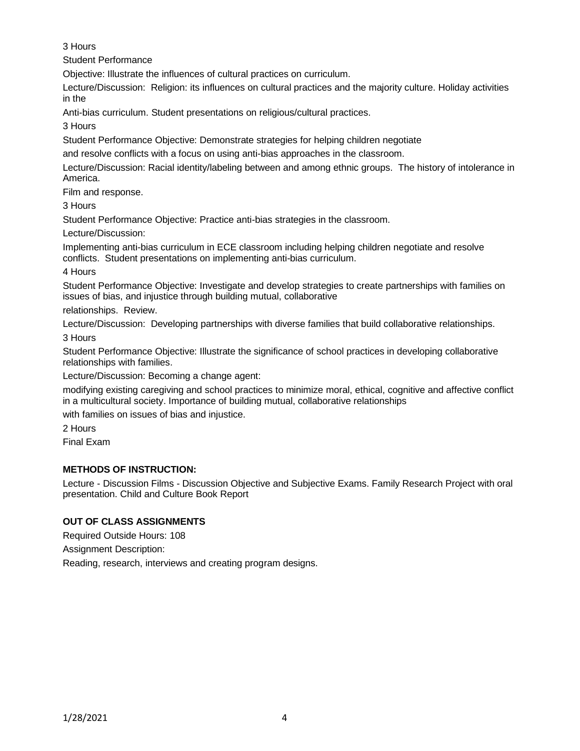3 Hours

Student Performance

Objective: Illustrate the influences of cultural practices on curriculum.

Lecture/Discussion: Religion: its influences on cultural practices and the majority culture. Holiday activities in the

Anti-bias curriculum. Student presentations on religious/cultural practices.

3 Hours

Student Performance Objective: Demonstrate strategies for helping children negotiate

and resolve conflicts with a focus on using anti-bias approaches in the classroom.

Lecture/Discussion: Racial identity/labeling between and among ethnic groups. The history of intolerance in America.

Film and response.

3 Hours

Student Performance Objective: Practice anti-bias strategies in the classroom.

Lecture/Discussion:

Implementing anti-bias curriculum in ECE classroom including helping children negotiate and resolve conflicts. Student presentations on implementing anti-bias curriculum.

4 Hours

Student Performance Objective: Investigate and develop strategies to create partnerships with families on issues of bias, and injustice through building mutual, collaborative

relationships. Review.

Lecture/Discussion: Developing partnerships with diverse families that build collaborative relationships.

3 Hours

Student Performance Objective: Illustrate the significance of school practices in developing collaborative relationships with families.

Lecture/Discussion: Becoming a change agent:

modifying existing caregiving and school practices to minimize moral, ethical, cognitive and affective conflict in a multicultural society. Importance of building mutual, collaborative relationships

with families on issues of bias and injustice.

2 Hours

Final Exam

# **METHODS OF INSTRUCTION:**

Lecture - Discussion Films - Discussion Objective and Subjective Exams. Family Research Project with oral presentation. Child and Culture Book Report

# **OUT OF CLASS ASSIGNMENTS**

Required Outside Hours: 108

Assignment Description:

Reading, research, interviews and creating program designs.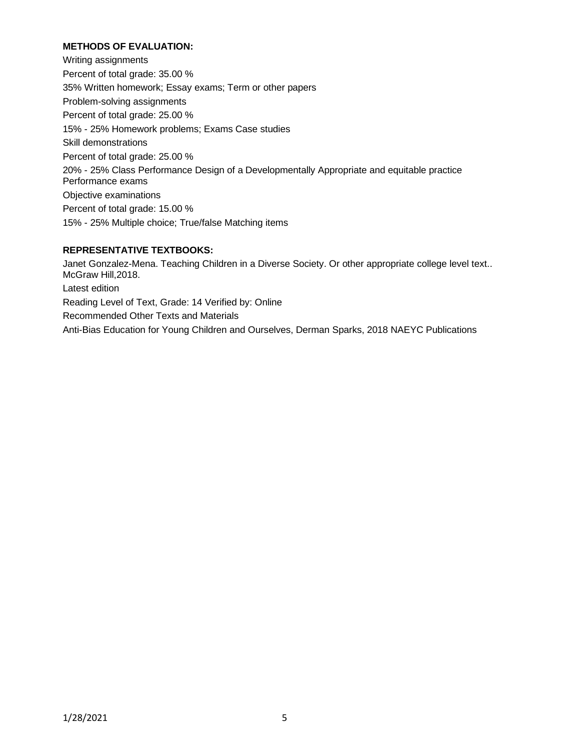# **METHODS OF EVALUATION:**

Writing assignments Percent of total grade: 35.00 % 35% Written homework; Essay exams; Term or other papers Problem-solving assignments Percent of total grade: 25.00 % 15% - 25% Homework problems; Exams Case studies Skill demonstrations Percent of total grade: 25.00 % 20% - 25% Class Performance Design of a Developmentally Appropriate and equitable practice Performance exams Objective examinations Percent of total grade: 15.00 % 15% - 25% Multiple choice; True/false Matching items

# **REPRESENTATIVE TEXTBOOKS:**

Janet Gonzalez-Mena. Teaching Children in a Diverse Society. Or other appropriate college level text.. McGraw Hill,2018. Latest edition Reading Level of Text, Grade: 14 Verified by: Online Recommended Other Texts and Materials Anti-Bias Education for Young Children and Ourselves, Derman Sparks, 2018 NAEYC Publications